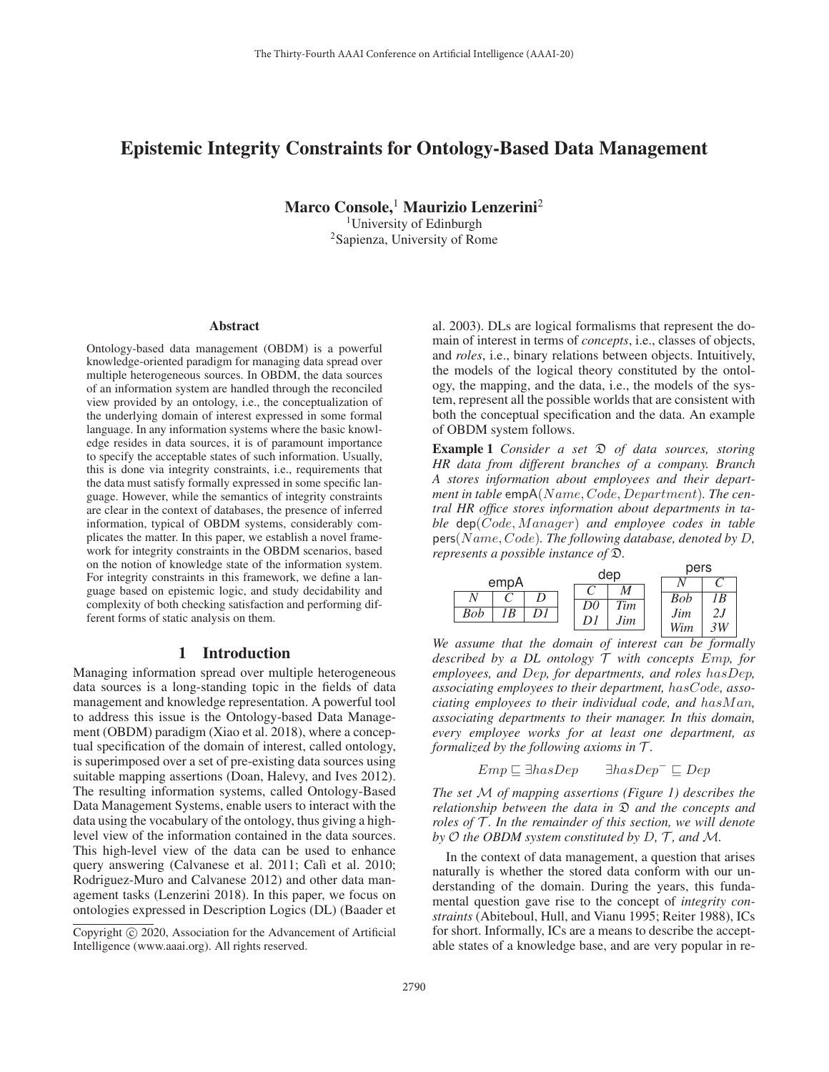# Epistemic Integrity Constraints for Ontology-Based Data Management

Marco Console,<sup>1</sup> Maurizio Lenzerini<sup>2</sup>

<sup>1</sup>University of Edinburgh 2Sapienza, University of Rome

#### Abstract

Ontology-based data management (OBDM) is a powerful knowledge-oriented paradigm for managing data spread over multiple heterogeneous sources. In OBDM, the data sources of an information system are handled through the reconciled view provided by an ontology, i.e., the conceptualization of the underlying domain of interest expressed in some formal language. In any information systems where the basic knowledge resides in data sources, it is of paramount importance to specify the acceptable states of such information. Usually, this is done via integrity constraints, i.e., requirements that the data must satisfy formally expressed in some specific language. However, while the semantics of integrity constraints are clear in the context of databases, the presence of inferred information, typical of OBDM systems, considerably complicates the matter. In this paper, we establish a novel framework for integrity constraints in the OBDM scenarios, based on the notion of knowledge state of the information system. For integrity constraints in this framework, we define a language based on epistemic logic, and study decidability and complexity of both checking satisfaction and performing different forms of static analysis on them.

### 1 Introduction

Managing information spread over multiple heterogeneous data sources is a long-standing topic in the fields of data management and knowledge representation. A powerful tool to address this issue is the Ontology-based Data Management (OBDM) paradigm (Xiao et al. 2018), where a conceptual specification of the domain of interest, called ontology, is superimposed over a set of pre-existing data sources using suitable mapping assertions (Doan, Halevy, and Ives 2012). The resulting information systems, called Ontology-Based Data Management Systems, enable users to interact with the data using the vocabulary of the ontology, thus giving a highlevel view of the information contained in the data sources. This high-level view of the data can be used to enhance query answering (Calvanese et al. 2011; Calì et al. 2010; Rodriguez-Muro and Calvanese 2012) and other data management tasks (Lenzerini 2018). In this paper, we focus on ontologies expressed in Description Logics (DL) (Baader et

al. 2003). DLs are logical formalisms that represent the domain of interest in terms of *concepts*, i.e., classes of objects, and *roles*, i.e., binary relations between objects. Intuitively, the models of the logical theory constituted by the ontology, the mapping, and the data, i.e., the models of the system, represent all the possible worlds that are consistent with both the conceptual specification and the data. An example of OBDM system follows.

**Example 1** *Consider a set*  $\mathcal{D}$  *of data sources, storing HR data from different branches of a company. Branch A stores information about employees and their depart*ment in table empA(Name, Code, Department). The cen*tral HR office stores information about departments in table* dep(*Code*, *Manager*) *and employee codes in table* pers(N ame, Code)*. The following database, denoted by* D*, represents a possible instance of* D*.*



*We assume that the domain of interest can be formally described by a DL ontology* T *with concepts* Emp*, for employees, and* Dep*, for departments, and roles* hasDep*, associating employees to their department,* hasCode*, associating employees to their individual code, and has Man, associating departments to their manager. In this domain, every employee works for at least one department, as formalized by the following axioms in* T *.*

$$
Emp \sqsubseteq \exists hasDep \qquad \exists hasDep^- \sqsubseteq Dep
$$

*The set* M *of mapping assertions (Figure 1) describes the relationship between the data in* D *and the concepts and roles of*  $\overline{T}$ *. In the remainder of this section, we will denote by* O *the OBDM system constituted by* D*,* T *, and* M*.*

In the context of data management, a question that arises naturally is whether the stored data conform with our understanding of the domain. During the years, this fundamental question gave rise to the concept of *integrity constraints* (Abiteboul, Hull, and Vianu 1995; Reiter 1988), ICs for short. Informally, ICs are a means to describe the acceptable states of a knowledge base, and are very popular in re-

Copyright  $\odot$  2020, Association for the Advancement of Artificial Intelligence (www.aaai.org). All rights reserved.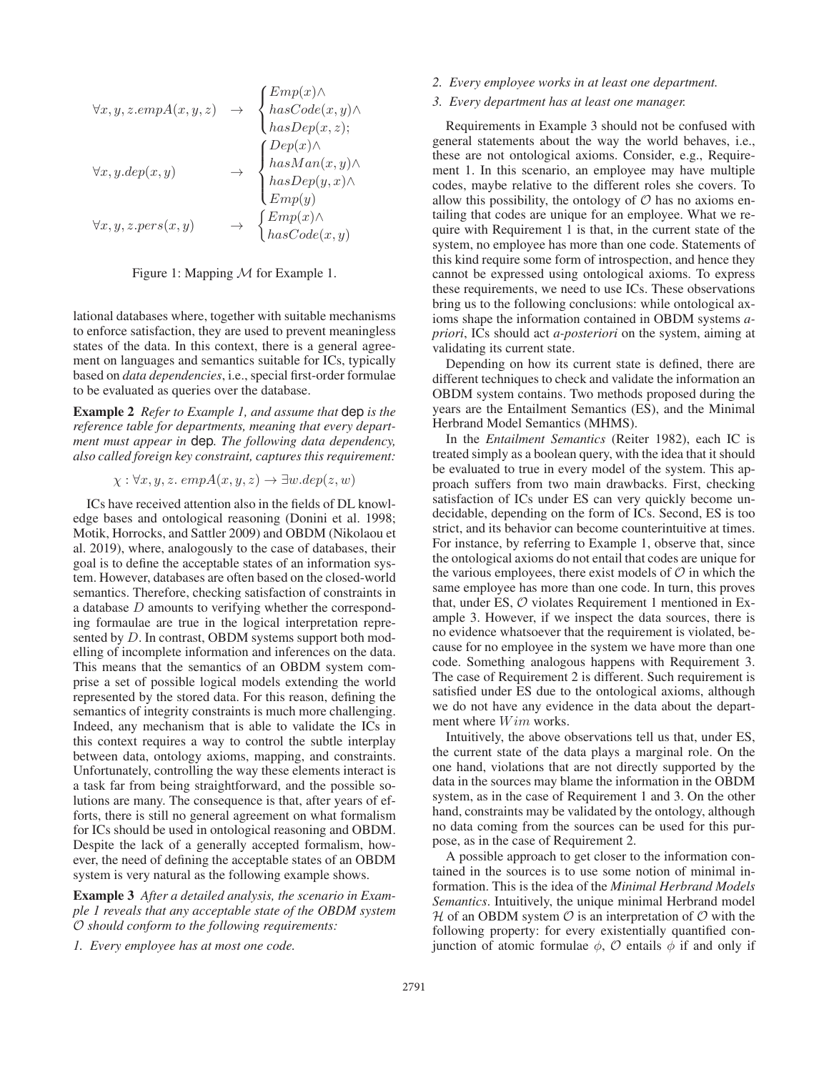$$
\forall x, y, z.empA(x, y, z) \rightarrow \begin{cases} Emp(x) \land \\ hasCode(x, y) \land \\ hasDep(x, z); \end{cases}
$$

$$
\forall x, y. dep(x, y) \rightarrow \begin{cases} Dep(x) \land \\ hasDep(x, z); \end{cases}
$$

$$
\forall x, y, z. pers(x, y) \rightarrow \begin{cases} Emp(y) \land \\ hasDep(y, x) \land \\ Emp(y) \end{cases}
$$

$$
\forall x, y, z. pers(x, y) \rightarrow \begin{cases} Emp(x) \land \\ hasCode(x, y) \end{cases}
$$

Figure 1: Mapping M for Example 1.

lational databases where, together with suitable mechanisms to enforce satisfaction, they are used to prevent meaningless states of the data. In this context, there is a general agreement on languages and semantics suitable for ICs, typically based on *data dependencies*, i.e., special first-order formulae to be evaluated as queries over the database.

Example 2 *Refer to Example 1, and assume that* dep *is the reference table for departments, meaning that every department must appear in* dep*. The following data dependency, also called foreign key constraint, captures this requirement:*

$$
\chi: \forall x, y, z. \text{ } empA(x, y, z) \rightarrow \exists w. dep(z, w)
$$

ICs have received attention also in the fields of DL knowledge bases and ontological reasoning (Donini et al. 1998; Motik, Horrocks, and Sattler 2009) and OBDM (Nikolaou et al. 2019), where, analogously to the case of databases, their goal is to define the acceptable states of an information system. However, databases are often based on the closed-world semantics. Therefore, checking satisfaction of constraints in a database D amounts to verifying whether the corresponding formaulae are true in the logical interpretation represented by D. In contrast, OBDM systems support both modelling of incomplete information and inferences on the data. This means that the semantics of an OBDM system comprise a set of possible logical models extending the world represented by the stored data. For this reason, defining the semantics of integrity constraints is much more challenging. Indeed, any mechanism that is able to validate the ICs in this context requires a way to control the subtle interplay between data, ontology axioms, mapping, and constraints. Unfortunately, controlling the way these elements interact is a task far from being straightforward, and the possible solutions are many. The consequence is that, after years of efforts, there is still no general agreement on what formalism for ICs should be used in ontological reasoning and OBDM. Despite the lack of a generally accepted formalism, however, the need of defining the acceptable states of an OBDM system is very natural as the following example shows.

Example 3 *After a detailed analysis, the scenario in Example 1 reveals that any acceptable state of the OBDM system* O *should conform to the following requirements:*

*1. Every employee has at most one code.*

### *2. Every employee works in at least one department.*

### *3. Every department has at least one manager.*

Requirements in Example 3 should not be confused with general statements about the way the world behaves, i.e., these are not ontological axioms. Consider, e.g., Requirement 1. In this scenario, an employee may have multiple codes, maybe relative to the different roles she covers. To allow this possibility, the ontology of  $\mathcal O$  has no axioms entailing that codes are unique for an employee. What we require with Requirement 1 is that, in the current state of the system, no employee has more than one code. Statements of this kind require some form of introspection, and hence they cannot be expressed using ontological axioms. To express these requirements, we need to use ICs. These observations bring us to the following conclusions: while ontological axioms shape the information contained in OBDM systems *apriori*, ICs should act *a-posteriori* on the system, aiming at validating its current state.

Depending on how its current state is defined, there are different techniques to check and validate the information an OBDM system contains. Two methods proposed during the years are the Entailment Semantics (ES), and the Minimal Herbrand Model Semantics (MHMS).

In the *Entailment Semantics* (Reiter 1982), each IC is treated simply as a boolean query, with the idea that it should be evaluated to true in every model of the system. This approach suffers from two main drawbacks. First, checking satisfaction of ICs under ES can very quickly become undecidable, depending on the form of ICs. Second, ES is too strict, and its behavior can become counterintuitive at times. For instance, by referring to Example 1, observe that, since the ontological axioms do not entail that codes are unique for the various employees, there exist models of  $\mathcal O$  in which the same employee has more than one code. In turn, this proves that, under ES,  $O$  violates Requirement 1 mentioned in Example 3. However, if we inspect the data sources, there is no evidence whatsoever that the requirement is violated, because for no employee in the system we have more than one code. Something analogous happens with Requirement 3. The case of Requirement 2 is different. Such requirement is satisfied under ES due to the ontological axioms, although we do not have any evidence in the data about the department where  $Wim$  works.

Intuitively, the above observations tell us that, under ES, the current state of the data plays a marginal role. On the one hand, violations that are not directly supported by the data in the sources may blame the information in the OBDM system, as in the case of Requirement 1 and 3. On the other hand, constraints may be validated by the ontology, although no data coming from the sources can be used for this purpose, as in the case of Requirement 2.

A possible approach to get closer to the information contained in the sources is to use some notion of minimal information. This is the idea of the *Minimal Herbrand Models Semantics*. Intuitively, the unique minimal Herbrand model H of an OBDM system  $\mathcal O$  is an interpretation of  $\mathcal O$  with the following property: for every existentially quantified conjunction of atomic formulae  $\phi$ ,  $\mathcal O$  entails  $\phi$  if and only if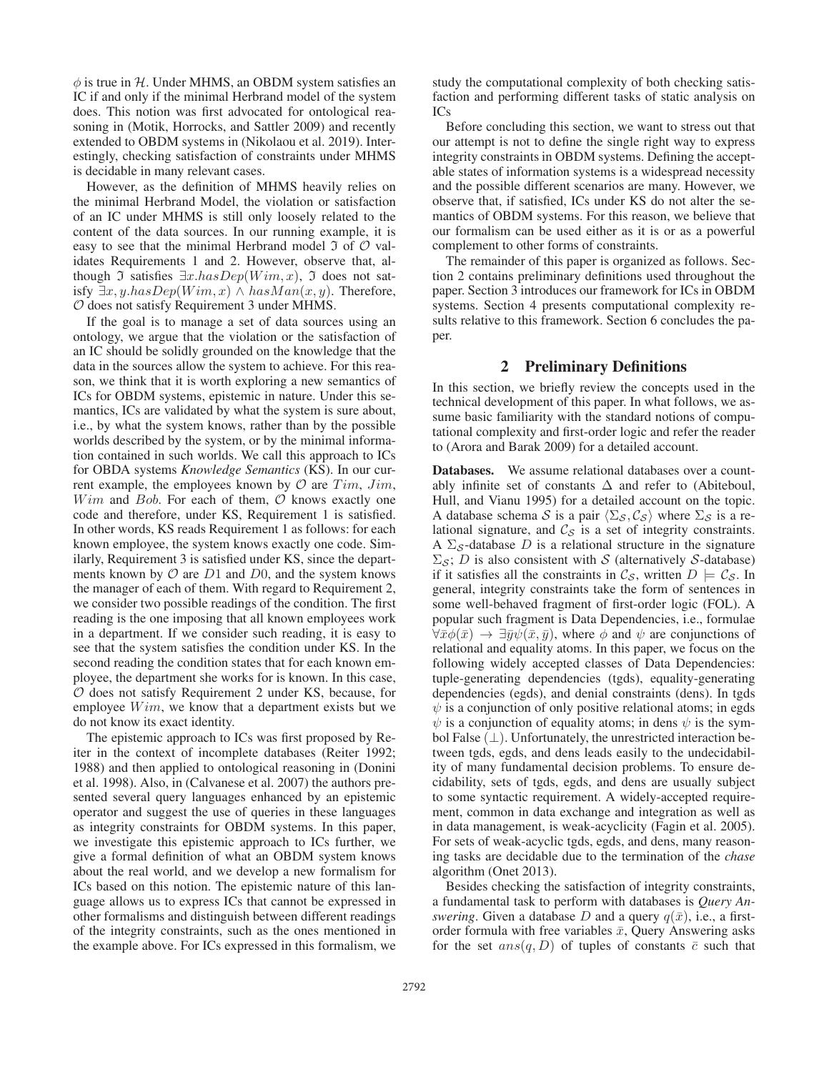$\phi$  is true in H. Under MHMS, an OBDM system satisfies an IC if and only if the minimal Herbrand model of the system does. This notion was first advocated for ontological reasoning in (Motik, Horrocks, and Sattler 2009) and recently extended to OBDM systems in (Nikolaou et al. 2019). Interestingly, checking satisfaction of constraints under MHMS is decidable in many relevant cases.

However, as the definition of MHMS heavily relies on the minimal Herbrand Model, the violation or satisfaction of an IC under MHMS is still only loosely related to the content of the data sources. In our running example, it is easy to see that the minimal Herbrand model  $\Im$  of  $\mathcal O$  validates Requirements 1 and 2. However, observe that, although  $\Im$  satisfies  $\exists x. hasDep(Wim, x)$ ,  $\Im$  does not satisfy  $\exists x, y.$ has $Dep(Wim, x) \wedge hasMan(x, y)$ . Therefore, O does not satisfy Requirement 3 under MHMS.

If the goal is to manage a set of data sources using an ontology, we argue that the violation or the satisfaction of an IC should be solidly grounded on the knowledge that the data in the sources allow the system to achieve. For this reason, we think that it is worth exploring a new semantics of ICs for OBDM systems, epistemic in nature. Under this semantics, ICs are validated by what the system is sure about, i.e., by what the system knows, rather than by the possible worlds described by the system, or by the minimal information contained in such worlds. We call this approach to ICs for OBDA systems *Knowledge Semantics* (KS). In our current example, the employees known by  $\mathcal{O}$  are  $Tim, Jim,$  $Wim$  and Bob. For each of them,  $O$  knows exactly one code and therefore, under KS, Requirement 1 is satisfied. In other words, KS reads Requirement 1 as follows: for each known employee, the system knows exactly one code. Similarly, Requirement 3 is satisfied under KS, since the departments known by  $\mathcal O$  are  $D1$  and  $D0$ , and the system knows the manager of each of them. With regard to Requirement 2, we consider two possible readings of the condition. The first reading is the one imposing that all known employees work in a department. If we consider such reading, it is easy to see that the system satisfies the condition under KS. In the second reading the condition states that for each known employee, the department she works for is known. In this case,  $O$  does not satisfy Requirement 2 under KS, because, for employee  $Wim$ , we know that a department exists but we do not know its exact identity.

The epistemic approach to ICs was first proposed by Reiter in the context of incomplete databases (Reiter 1992; 1988) and then applied to ontological reasoning in (Donini et al. 1998). Also, in (Calvanese et al. 2007) the authors presented several query languages enhanced by an epistemic operator and suggest the use of queries in these languages as integrity constraints for OBDM systems. In this paper, we investigate this epistemic approach to ICs further, we give a formal definition of what an OBDM system knows about the real world, and we develop a new formalism for ICs based on this notion. The epistemic nature of this language allows us to express ICs that cannot be expressed in other formalisms and distinguish between different readings of the integrity constraints, such as the ones mentioned in the example above. For ICs expressed in this formalism, we

study the computational complexity of both checking satisfaction and performing different tasks of static analysis on  $IC<sub>s</sub>$ 

Before concluding this section, we want to stress out that our attempt is not to define the single right way to express integrity constraints in OBDM systems. Defining the acceptable states of information systems is a widespread necessity and the possible different scenarios are many. However, we observe that, if satisfied, ICs under KS do not alter the semantics of OBDM systems. For this reason, we believe that our formalism can be used either as it is or as a powerful complement to other forms of constraints.

The remainder of this paper is organized as follows. Section 2 contains preliminary definitions used throughout the paper. Section 3 introduces our framework for ICs in OBDM systems. Section 4 presents computational complexity results relative to this framework. Section 6 concludes the paper.

### 2 Preliminary Definitions

In this section, we briefly review the concepts used in the technical development of this paper. In what follows, we assume basic familiarity with the standard notions of computational complexity and first-order logic and refer the reader to (Arora and Barak 2009) for a detailed account.

Databases. We assume relational databases over a countably infinite set of constants  $\Delta$  and refer to (Abiteboul, Hull, and Vianu 1995) for a detailed account on the topic. A database schema S is a pair  $\langle \Sigma_{\mathcal{S}}, \mathcal{C}_{\mathcal{S}} \rangle$  where  $\Sigma_{\mathcal{S}}$  is a relational signature, and  $C_S$  is a set of integrity constraints. A  $\Sigma_{\mathcal{S}}$ -database D is a relational structure in the signature  $\Sigma_{\mathcal{S}}$ ; D is also consistent with S (alternatively S-database) if it satisfies all the constraints in  $\mathcal{C}_{\mathcal{S}}$ , written  $D \models \mathcal{C}_{\mathcal{S}}$ . In general, integrity constraints take the form of sentences in some well-behaved fragment of first-order logic (FOL). A popular such fragment is Data Dependencies, i.e., formulae  $\forall \bar{x}\phi(\bar{x}) \rightarrow \exists \bar{y}\psi(\bar{x}, \bar{y})$ , where  $\phi$  and  $\psi$  are conjunctions of relational and equality atoms. In this paper, we focus on the following widely accepted classes of Data Dependencies: tuple-generating dependencies (tgds), equality-generating dependencies (egds), and denial constraints (dens). In tgds  $\psi$  is a conjunction of only positive relational atoms; in egds  $\psi$  is a conjunction of equality atoms; in dens  $\psi$  is the symbol False  $(\perp)$ . Unfortunately, the unrestricted interaction between tgds, egds, and dens leads easily to the undecidability of many fundamental decision problems. To ensure decidability, sets of tgds, egds, and dens are usually subject to some syntactic requirement. A widely-accepted requirement, common in data exchange and integration as well as in data management, is weak-acyclicity (Fagin et al. 2005). For sets of weak-acyclic tgds, egds, and dens, many reasoning tasks are decidable due to the termination of the *chase* algorithm (Onet 2013).

Besides checking the satisfaction of integrity constraints, a fundamental task to perform with databases is *Query Answering*. Given a database D and a query  $q(\bar{x})$ , i.e., a firstorder formula with free variables  $\bar{x}$ , Query Answering asks for the set  $ans(q, D)$  of tuples of constants  $\bar{c}$  such that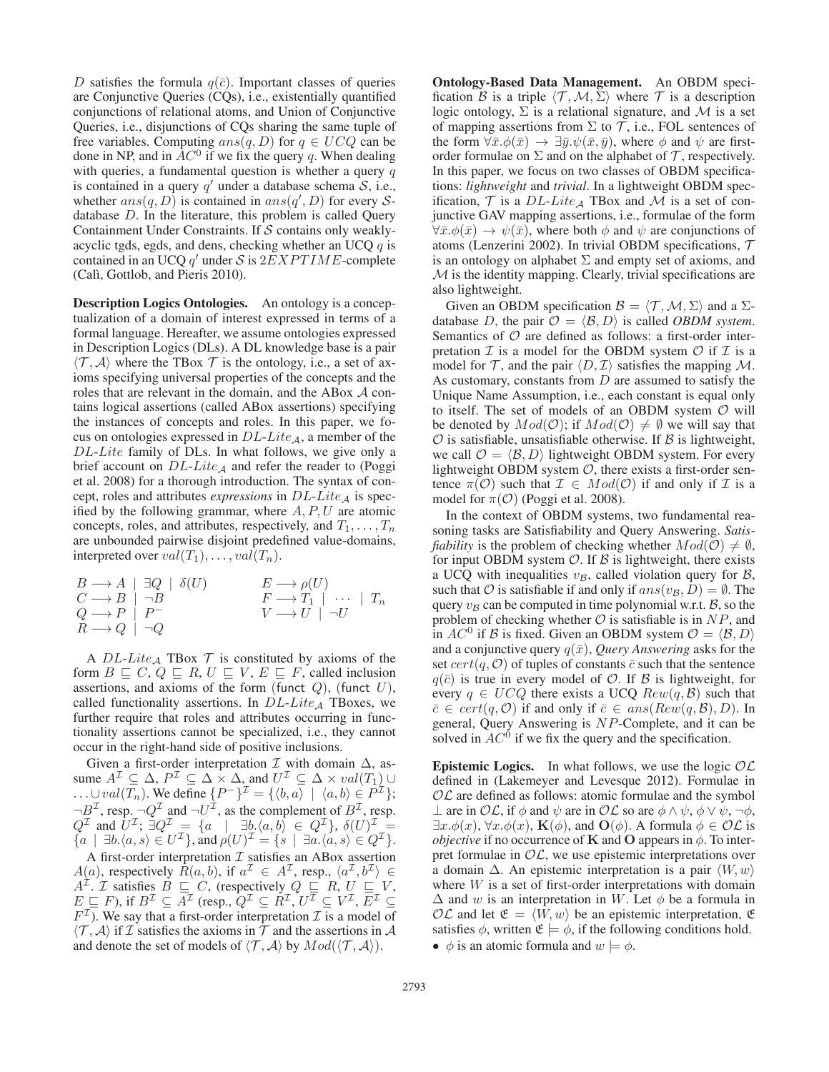D satisfies the formula  $q(\bar{c})$ . Important classes of queries are Conjunctive Queries (CQs), i.e., existentially quantified conjunctions of relational atoms, and Union of Conjunctive Queries, i.e., disjunctions of CQs sharing the same tuple of free variables. Computing  $ans(q, D)$  for  $q \in UCQ$  can be done in NP, and in  $AC^0$  if we fix the query q. When dealing with queries, a fundamental question is whether a query  $q$ is contained in a query  $q'$  under a database schema  $S$ , i.e., whether  $ans(q, D)$  is contained in  $ans(q', D)$  for every Sdatabase D. In the literature, this problem is called Query Containment Under Constraints. If S contains only weaklyacyclic tgds, egds, and dens, checking whether an UCQ  $q$  is contained in an UCQ  $q'$  under S is  $2EXPTIME$ -complete (Calì, Gottlob, and Pieris 2010).

Description Logics Ontologies. An ontology is a conceptualization of a domain of interest expressed in terms of a formal language. Hereafter, we assume ontologies expressed in Description Logics (DLs). A DL knowledge base is a pair  $\langle \mathcal{T}, \mathcal{A} \rangle$  where the TBox  $\mathcal{T}$  is the ontology, i.e., a set of axioms specifying universal properties of the concepts and the roles that are relevant in the domain, and the ABox A contains logical assertions (called ABox assertions) specifying the instances of concepts and roles. In this paper, we focus on ontologies expressed in  $DL\text{-}Like_A$ , a member of the DL-Lite family of DLs. In what follows, we give only a brief account on  $DL\text{-}Like_{\mathcal{A}}$  and refer the reader to (Poggi et al. 2008) for a thorough introduction. The syntax of concept, roles and attributes *expressions* in  $DL\text{-}Lie_A$  is specified by the following grammar, where  $A, P, U$  are atomic concepts, roles, and attributes, respectively, and  $T_1, \ldots, T_n$ are unbounded pairwise disjoint predefined value-domains, interpreted over  $val(T_1), \ldots, val(T_n)$ .

$$
\begin{array}{ccc}\nB \longrightarrow A & \exists Q & \delta(U) \\
C \longrightarrow B & \neg B \\
Q \longrightarrow P & P \\
R \longrightarrow Q & \neg Q\n\end{array}\n\qquad\n\begin{array}{ccc}\nE \longrightarrow \rho(U) \\
F \longrightarrow T_1 & \cdots & T_n \\
V \longrightarrow U & \neg U\n\end{array}
$$

A  $DL\text{-}Lie_{\mathcal{A}}$  TBox  $\mathcal T$  is constituted by axioms of the form  $B \subseteq C$ ,  $Q \subseteq R$ ,  $U \subseteq V$ ,  $E \subseteq F$ , called inclusion assertions, and axioms of the form (funct  $Q$ ), (funct  $U$ ), called functionality assertions. In  $DL\text{-}Like_A$  TBoxes, we further require that roles and attributes occurring in functionality assertions cannot be specialized, i.e., they cannot occur in the right-hand side of positive inclusions.

Given a first-order interpretation  $\mathcal I$  with domain  $\Delta$ , assume  $A^{\mathcal{I}} \subseteq \Delta$ ,  $P^{\mathcal{I}} \subseteq \Delta \times \Delta$ , and  $U^{\mathcal{I}} \subseteq \Delta \times val(T_1) \cup$  $\ldots \cup val(T_n)$ . We define  $\{P^-\}^{\mathcal{I}} = \{\langle b, a \rangle \mid \langle a, b \rangle \in P^{\mathcal{I}}\};$  $\neg B^{\perp}$ , resp.  $\neg Q^{\perp}$  and  $\neg U^{\perp}$ , as the complement of  $B^{\perp}$ , resp.  $Q^{\mathcal{I}}$  and  $U^{\mathcal{I}}$ ;  $\exists Q^{\mathcal{I}} = \{a \mid \exists b.\langle a,b \rangle \in Q^{\mathcal{I}}\}, \delta(U)^{\mathcal{I}} =$  ${a \mid \exists b.\langle a, s \rangle \in U^{\mathcal{I}}}$ , and  $\rho(U)^{\mathcal{I}} = {s \mid \exists a.\langle a, s \rangle \in Q^{\mathcal{I}}}$ .

A first-order interpretation  $\mathcal I$  satisfies an ABox assertion  $A(a)$ , respectively  $\overrightarrow{R}(a, b)$ , if  $a^{\mathcal{I}} \in A^{\mathcal{I}}$ , resp.,  $\langle a^{\mathcal{I}}, b^{\mathcal{I}} \rangle \in$  $A^{\mathcal{I}}$ . *T* satisfies  $B \subseteq C$ , (respectively  $Q \subseteq R$ ,  $U \subseteq V$ ,  $E \subseteq F$ ), if  $B^{\mathcal{I}} \subseteq A^{\mathcal{I}}$  (resp.,  $Q^{\mathcal{I}} \subseteq R^{\mathcal{I}}$ ,  $U^{\mathcal{I}} \subseteq V^{\mathcal{I}}$ ,  $E^{\mathcal{I}} \subseteq$  $F<sup>\mathcal{I}</sup>$ ). We say that a first-order interpretation  $\mathcal{I}$  is a model of  $\langle \mathcal{T}, \mathcal{A} \rangle$  if  $\mathcal{I}$  satisfies the axioms in  $\mathcal{T}$  and the assertions in  $\mathcal{A}$ and denote the set of models of  $\langle \mathcal{T}, \mathcal{A} \rangle$  by  $Mod(\langle \mathcal{T}, \mathcal{A} \rangle)$ .

Ontology-Based Data Management. An OBDM specification B is a triple  $\langle \mathcal{T}, \mathcal{M}, \Sigma \rangle$  where T is a description logic ontology,  $\Sigma$  is a relational signature, and M is a set of mapping assertions from  $\Sigma$  to  $\mathcal T$ , i.e., FOL sentences of the form  $\forall \bar{x}.\phi(\bar{x}) \rightarrow \exists \bar{y}.\psi(\bar{x}, \bar{y})$ , where  $\phi$  and  $\psi$  are firstorder formulae on  $\Sigma$  and on the alphabet of  $\mathcal T$ , respectively. In this paper, we focus on two classes of OBDM specifications: *lightweight* and *trivial*. In a lightweight OBDM specification,  $T$  is a  $DL\text{-}Lite_A$  TBox and  $\mathcal M$  is a set of conjunctive GAV mapping assertions, i.e., formulae of the form  $\forall \bar{x}.\phi(\bar{x}) \rightarrow \psi(\bar{x})$ , where both  $\phi$  and  $\psi$  are conjunctions of atoms (Lenzerini 2002). In trivial OBDM specifications,  $\mathcal T$ is an ontology on alphabet  $\Sigma$  and empty set of axioms, and  $M$  is the identity mapping. Clearly, trivial specifications are also lightweight.

Given an OBDM specification  $\mathcal{B} = \langle \mathcal{T}, \mathcal{M}, \Sigma \rangle$  and a  $\Sigma$ database D, the pair  $\mathcal{O} = \langle \mathcal{B}, D \rangle$  is called *OBDM system*. Semantics of  $O$  are defined as follows: a first-order interpretation  $\mathcal I$  is a model for the OBDM system  $\mathcal O$  if  $\mathcal I$  is a model for  $\mathcal{T}$ , and the pair  $\langle D, \mathcal{I} \rangle$  satisfies the mapping M. As customary, constants from  $D$  are assumed to satisfy the Unique Name Assumption, i.e., each constant is equal only to itself. The set of models of an OBDM system  $O$  will be denoted by  $Mod(\mathcal{O})$ ; if  $Mod(\mathcal{O}) \neq \emptyset$  we will say that  $\mathcal O$  is satisfiable, unsatisfiable otherwise. If  $\mathcal B$  is lightweight, we call  $\mathcal{O} = \langle \mathcal{B}, D \rangle$  lightweight OBDM system. For every lightweight OBDM system  $O$ , there exists a first-order sentence  $\pi(\mathcal{O})$  such that  $\mathcal{I} \in Mod(\mathcal{O})$  if and only if  $\mathcal{I}$  is a model for  $\pi(\mathcal{O})$  (Poggi et al. 2008).

In the context of OBDM systems, two fundamental reasoning tasks are Satisfiability and Query Answering. *Satisfiability* is the problem of checking whether  $Mod(\mathcal{O}) \neq \emptyset$ , for input OBDM system  $\mathcal{O}$ . If  $\mathcal{B}$  is lightweight, there exists a UCQ with inequalities  $v_B$ , called violation query for  $\beta$ , such that  $\mathcal O$  is satisfiable if and only if  $ans(v_B, D) = \emptyset$ . The query  $v_B$  can be computed in time polynomial w.r.t.  $\beta$ , so the problem of checking whether  $\mathcal O$  is satisfiable is in  $NP$ , and in  $AC^0$  if B is fixed. Given an OBDM system  $\mathcal{O} = \langle \mathcal{B}, D \rangle$ and a conjunctive query  $q(\bar{x})$ , *Query Answering* asks for the set  $cert(q, O)$  of tuples of constants  $\overline{c}$  such that the sentence  $q(\bar{c})$  is true in every model of  $O$ . If  $\beta$  is lightweight, for every  $q \in U CQ$  there exists a UCQ  $Rew(q, \mathcal{B})$  such that  $\overline{c} \in cert(q,\mathcal{O})$  if and only if  $\overline{c} \in ans(Rew(q,\mathcal{B}),D)$ . In general, Query Answering is NP-Complete, and it can be solved in  $AC^0$  if we fix the query and the specification.

**Epistemic Logics.** In what follows, we use the logic  $OL$ defined in (Lakemeyer and Levesque 2012). Formulae in  $\mathcal{OL}$  are defined as follows: atomic formulae and the symbol  $\perp$  are in OL, if  $\phi$  and  $\psi$  are in OL so are  $\phi \wedge \psi$ ,  $\phi \vee \psi$ ,  $\neg \phi$ ,  $\exists x.\phi(x), \forall x.\phi(x), \mathbf{K}(\phi)$ , and  $\mathbf{O}(\phi)$ . A formula  $\phi \in \mathcal{OL}$  is *objective* if no occurrence of **K** and **O** appears in  $\phi$ . To interpret formulae in  $OL$ , we use epistemic interpretations over a domain  $\Delta$ . An epistemic interpretation is a pair  $\langle W, w \rangle$ where  $W$  is a set of first-order interpretations with domain  $\Delta$  and w is an interpretation in W. Let  $\phi$  be a formula in  $\mathcal{OL}$  and let  $\mathfrak{E} = \langle W, w \rangle$  be an epistemic interpretation,  $\mathfrak{E}$ satisfies  $\phi$ , written  $\mathfrak{E} \models \phi$ , if the following conditions hold. •  $\phi$  is an atomic formula and  $w \models \phi$ .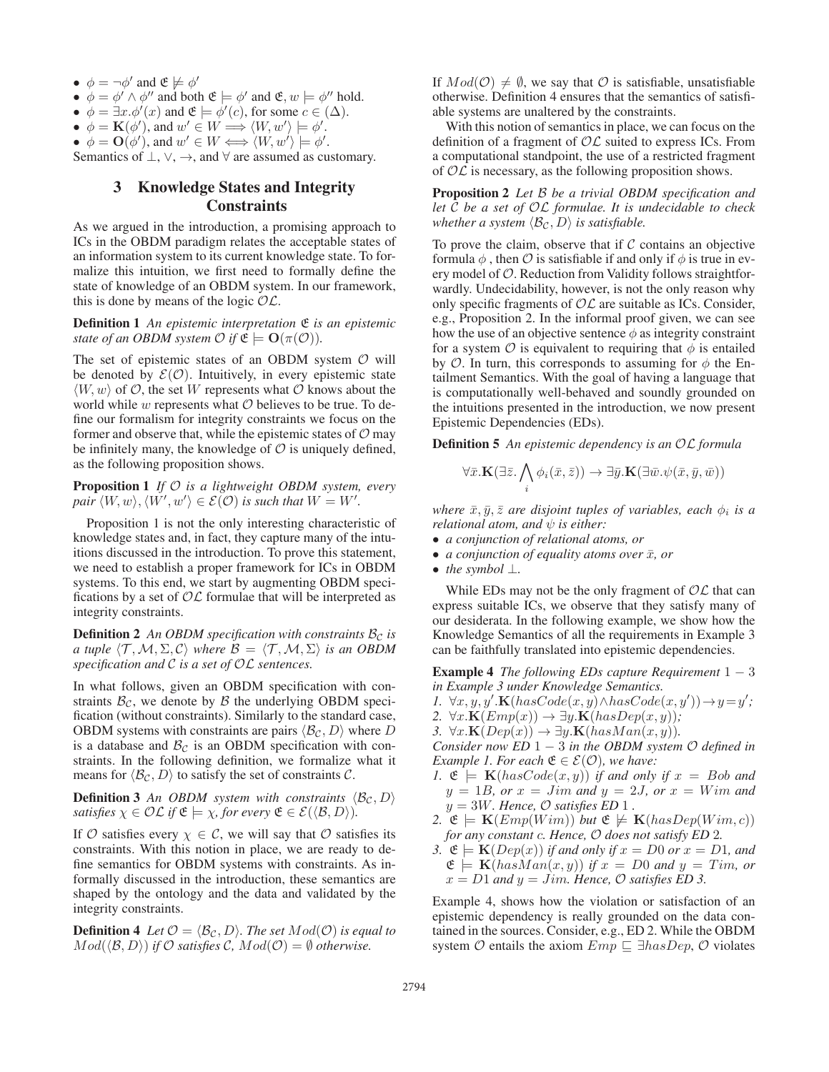- $\phi = \neg \phi'$  and  $\mathfrak{E} \not\models \phi'$
- $\phi = \phi' \wedge \phi''$  and both  $\mathfrak{E} \models \phi'$  and  $\mathfrak{E}, w \models \phi''$  hold.
- $\phi = \exists x . \phi'(x)$  and  $\mathfrak{E} \models \phi'(c)$ , for some  $c \in (\Delta)$ .
- $\phi = \mathbf{K}(\phi')$ , and  $w' \in W \Longrightarrow \langle W, w' \rangle \models \phi'$ .
- $\phi = \mathbf{O}(\phi')$ , and  $w' \in W \Longleftrightarrow \langle W, w' \rangle \models \phi'$ .

Semantics of  $\bot$ ,  $\lor$ ,  $\rightarrow$ , and  $\forall$  are assumed as customary.

### 3 Knowledge States and Integrity **Constraints**

As we argued in the introduction, a promising approach to ICs in the OBDM paradigm relates the acceptable states of an information system to its current knowledge state. To formalize this intuition, we first need to formally define the state of knowledge of an OBDM system. In our framework, this is done by means of the logic  $\mathcal{OL}$ .

Definition 1 *An epistemic interpretation* E *is an epistemic state of an OBDM system*  $\mathcal{O}$  *if*  $\mathfrak{E} \models \mathbf{O}(\pi(\mathcal{O}))$ *.* 

The set of epistemic states of an OBDM system  $\mathcal O$  will be denoted by  $\mathcal{E}(\mathcal{O})$ . Intuitively, in every epistemic state  $\langle W, w \rangle$  of  $\mathcal{O}$ , the set W represents what  $\mathcal{O}$  knows about the world while  $w$  represents what  $O$  believes to be true. To define our formalism for integrity constraints we focus on the former and observe that, while the epistemic states of  $\mathcal{O}$  may be infinitely many, the knowledge of  $\mathcal O$  is uniquely defined, as the following proposition shows.

Proposition 1 *If* O *is a lightweight OBDM system, every pair*  $\langle W, w \rangle$ ,  $\langle W', w' \rangle \in \mathcal{E}(\mathcal{O})$  *is such that*  $W = W'.$ 

Proposition 1 is not the only interesting characteristic of knowledge states and, in fact, they capture many of the intuitions discussed in the introduction. To prove this statement, we need to establish a proper framework for ICs in OBDM systems. To this end, we start by augmenting OBDM specifications by a set of  $\mathcal{OL}$  formulae that will be interpreted as integrity constraints.

**Definition 2** An OBDM specification with constraints  $B<sub>C</sub>$  is *a tuple*  $\langle \mathcal{T}, \mathcal{M}, \Sigma, \mathcal{C} \rangle$  *where*  $\mathcal{B} = \langle \mathcal{T}, \mathcal{M}, \Sigma \rangle$  *is an OBDM specification and* C *is a set of* OL *sentences.*

In what follows, given an OBDM specification with constraints  $\mathcal{B}_{\mathcal{C}}$ , we denote by  $\mathcal B$  the underlying OBDM specification (without constraints). Similarly to the standard case, OBDM systems with constraints are pairs  $\langle \mathcal{B}_{\mathcal{C}}, D \rangle$  where D is a database and  $\mathcal{B}_{\mathcal{C}}$  is an OBDM specification with constraints. In the following definition, we formalize what it means for  $\langle \mathcal{B}_{\mathcal{C}}, D \rangle$  to satisfy the set of constraints C.

**Definition 3** An OBDM system with constraints  $\langle \mathcal{B}_{\mathcal{C}}, D \rangle$ *satisfies*  $\chi \in \mathcal{OL}$  *if*  $\mathfrak{E} \models \chi$ *, for every*  $\mathfrak{E} \in \mathcal{E}(\langle \mathcal{B}, D \rangle)$ *.* 

If O satisfies every  $\chi \in \mathcal{C}$ , we will say that O satisfies its constraints. With this notion in place, we are ready to define semantics for OBDM systems with constraints. As informally discussed in the introduction, these semantics are shaped by the ontology and the data and validated by the integrity constraints.

**Definition 4** *Let*  $\mathcal{O} = \langle \mathcal{B}_{\mathcal{C}}, D \rangle$ *. The set*  $Mod(\mathcal{O})$  *is equal to*  $Mod(\langle \mathcal{B}, D \rangle)$  *if*  $\mathcal O$  *satisfies*  $\mathcal C$ *,*  $Mod(\mathcal O) = \emptyset$  *otherwise.* 

If  $Mod(\mathcal{O}) \neq \emptyset$ , we say that  $\mathcal O$  is satisfiable, unsatisfiable otherwise. Definition 4 ensures that the semantics of satisfiable systems are unaltered by the constraints.

With this notion of semantics in place, we can focus on the definition of a fragment of  $\mathcal{OL}$  suited to express ICs. From a computational standpoint, the use of a restricted fragment of  $\mathcal{OL}$  is necessary, as the following proposition shows.

Proposition 2 *Let* B *be a trivial OBDM specification and let* C *be a set of* OL *formulae. It is undecidable to check whether a system*  $\langle \mathcal{B}_{\mathcal{C}}, D \rangle$  *is satisfiable.* 

To prove the claim, observe that if  $C$  contains an objective formula  $\phi$ , then  $\mathcal O$  is satisfiable if and only if  $\phi$  is true in every model of  $O$ . Reduction from Validity follows straightforwardly. Undecidability, however, is not the only reason why only specific fragments of  $\mathcal{OL}$  are suitable as ICs. Consider, e.g., Proposition 2. In the informal proof given, we can see how the use of an objective sentence  $\phi$  as integrity constraint for a system  $\mathcal O$  is equivalent to requiring that  $\phi$  is entailed by  $\mathcal O$ . In turn, this corresponds to assuming for  $\phi$  the Entailment Semantics. With the goal of having a language that is computationally well-behaved and soundly grounded on the intuitions presented in the introduction, we now present Epistemic Dependencies (EDs).

Definition 5 *An epistemic dependency is an* OL *formula*

$$
\forall \bar{x}. \mathbf{K}(\exists \bar{z}. \bigwedge_i \phi_i(\bar{x}, \bar{z})) \rightarrow \exists \bar{y}. \mathbf{K}(\exists \bar{w}. \psi(\bar{x}, \bar{y}, \bar{w}))
$$

*where*  $\bar{x}, \bar{y}, \bar{z}$  *are disjoint tuples of variables, each*  $\phi_i$  *is a relational atom, and*  $\psi$  *is either:* 

- *a conjunction of relational atoms, or*
- *a conjunction of equality atoms over*  $\bar{x}$ *, or*
- *the symbol* ⊥*.*

While EDs may not be the only fragment of  $\mathcal{OL}$  that can express suitable ICs, we observe that they satisfy many of our desiderata. In the following example, we show how the Knowledge Semantics of all the requirements in Example 3 can be faithfully translated into epistemic dependencies.

Example 4 *The following EDs capture Requirement* 1 − 3 *in Example 3 under Knowledge Semantics.*

- 1.  $\forall x, y, y'.\mathbf{K}(hasCode(x, y) \land hasCode(x, y')) \rightarrow y=y';$
- 2.  $\forall x. \mathbf{K}(Emp(x)) \rightarrow \exists y. \mathbf{K}(hasDep(x, y))$ ;
- 3.  $\forall x. \mathbf{K}(Dep(x)) \rightarrow \exists y. \mathbf{K}(hasMan(x,y)).$

*Consider now ED* 1 − 3 *in the OBDM system* O *defined in Example 1. For each*  $\mathfrak{E} \in \mathcal{E}(\mathcal{O})$ *, we have:* 

- *1.*  $\mathfrak{E} \models \mathbf{K}(hasCode(x, y))$  *if and only if*  $x = Bob$  *and*  $y = 1B$ *, or*  $x = Jim$  *and*  $y = 2J$ *, or*  $x = Wim$  *and*  $y = 3W$ *. Hence, O satisfies ED* 1.
- 2.  $\mathfrak{E} \models \mathbf{K}(Emp(Wim))$  *but*  $\mathfrak{E} \not\models \mathbf{K}(hasDep(Wim, c))$ *for any constant* c*. Hence,* O *does not satisfy ED* 2*.*
- *3.*  $\mathfrak{E} \models \mathbf{K}(Dep(x))$  *if and only if*  $x = D0$  *or*  $x = D1$ *, and*  $\mathfrak{E} \models \mathbf{K}(hasMan(x, y))$  *if*  $x = D0$  *and*  $y = Tim$ , *or*  $x = D1$  *and*  $y = Jim$ *. Hence,*  $\mathcal{O}$  *satisfies ED 3.*

Example 4, shows how the violation or satisfaction of an epistemic dependency is really grounded on the data contained in the sources. Consider, e.g., ED 2. While the OBDM system  $O$  entails the axiom  $Emp \subseteq \exists hasDep, O$  violates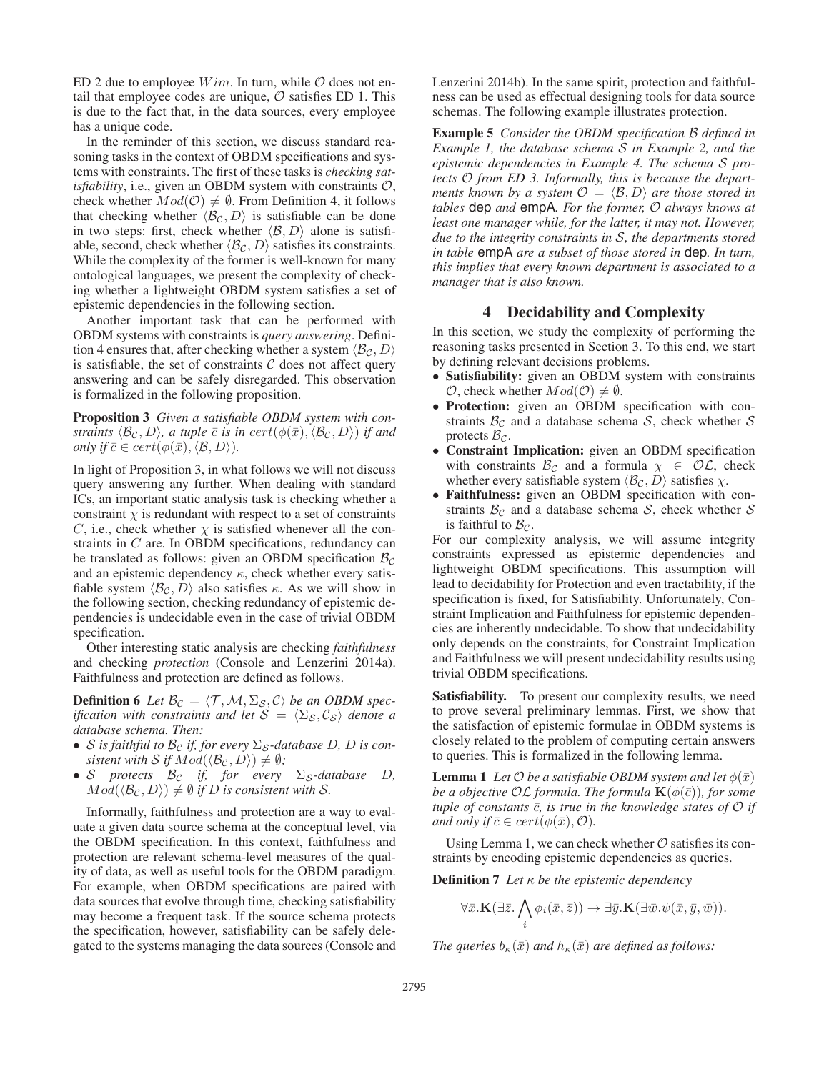ED 2 due to employee  $Wim$ . In turn, while  $O$  does not entail that employee codes are unique,  $O$  satisfies ED 1. This is due to the fact that, in the data sources, every employee has a unique code.

In the reminder of this section, we discuss standard reasoning tasks in the context of OBDM specifications and systems with constraints. The first of these tasks is *checking satisfiability*, i.e., given an OBDM system with constraints  $O$ , check whether  $Mod(\mathcal{O}) \neq \emptyset$ . From Definition 4, it follows that checking whether  $\langle \mathcal{B}_{\mathcal{C}}, D \rangle$  is satisfiable can be done in two steps: first, check whether  $\langle B, D \rangle$  alone is satisfiable, second, check whether  $\langle \mathcal{B}_{\mathcal{C}}, D \rangle$  satisfies its constraints. While the complexity of the former is well-known for many ontological languages, we present the complexity of checking whether a lightweight OBDM system satisfies a set of epistemic dependencies in the following section.

Another important task that can be performed with OBDM systems with constraints is *query answering*. Definition 4 ensures that, after checking whether a system  $\langle \mathcal{B}_{\mathcal{C}}, D \rangle$ is satisfiable, the set of constraints  $C$  does not affect query answering and can be safely disregarded. This observation is formalized in the following proposition.

Proposition 3 *Given a satisfiable OBDM system with constraints*  $\langle \mathcal{B}_{\mathcal{C}}, D \rangle$ , *a tuple*  $\bar{c}$  *is in cert*( $\phi(\bar{x}), \langle \mathcal{B}_{\mathcal{C}}, D \rangle$ ) *if and only if*  $\bar{c} \in cert(\phi(\bar{x}), \langle \mathcal{B}, D \rangle)$ *.* 

In light of Proposition 3, in what follows we will not discuss query answering any further. When dealing with standard ICs, an important static analysis task is checking whether a constraint  $\chi$  is redundant with respect to a set of constraints C, i.e., check whether  $\chi$  is satisfied whenever all the constraints in C are. In OBDM specifications, redundancy can be translated as follows: given an OBDM specification  $B<sub>c</sub>$ and an epistemic dependency  $\kappa$ , check whether every satisfiable system  $\langle \mathcal{B}_{\mathcal{C}}, D \rangle$  also satisfies κ. As we will show in the following section, checking redundancy of epistemic dependencies is undecidable even in the case of trivial OBDM specification.

Other interesting static analysis are checking *faithfulness* and checking *protection* (Console and Lenzerini 2014a). Faithfulness and protection are defined as follows.

**Definition 6** Let  $\mathcal{B}_{\mathcal{C}} = \langle \mathcal{T}, \mathcal{M}, \Sigma_{\mathcal{S}}, \mathcal{C} \rangle$  be an OBDM spec*ification with constraints and let*  $S = \langle \Sigma_S, \mathcal{C}_S \rangle$  *denote a database schema. Then:*

- S *is faithful to*  $\mathcal{B}_{\mathcal{C}}$  *<i>if, for every*  $\Sigma_{\mathcal{S}}$ -database D, D *is consistent with*  $S$  *if*  $Mod(\langle \mathcal{B}_{\mathcal{C}}, D \rangle) \neq \emptyset$ *;*
- S *protects*  $B_c$  *if, for every*  $\Sigma$ <sub>S</sub>-database D,  $Mod(\langle \mathcal{B}_{\mathcal{C}}, D \rangle) \neq \emptyset$  *if D is consistent with S*.

Informally, faithfulness and protection are a way to evaluate a given data source schema at the conceptual level, via the OBDM specification. In this context, faithfulness and protection are relevant schema-level measures of the quality of data, as well as useful tools for the OBDM paradigm. For example, when OBDM specifications are paired with data sources that evolve through time, checking satisfiability may become a frequent task. If the source schema protects the specification, however, satisfiability can be safely delegated to the systems managing the data sources (Console and

Lenzerini 2014b). In the same spirit, protection and faithfulness can be used as effectual designing tools for data source schemas. The following example illustrates protection.

Example 5 *Consider the OBDM specification* B *defined in Example 1, the database schema* S *in Example 2, and the epistemic dependencies in Example 4. The schema* S *protects* O *from ED 3. Informally, this is because the departments known by a system*  $\mathcal{O} = \langle \mathcal{B}, D \rangle$  *are those stored in tables* dep *and* empA*. For the former,* O *always knows at least one manager while, for the latter, it may not. However, due to the integrity constraints in* S*, the departments stored in table* empA *are a subset of those stored in* dep*. In turn, this implies that every known department is associated to a manager that is also known.*

### 4 Decidability and Complexity

In this section, we study the complexity of performing the reasoning tasks presented in Section 3. To this end, we start by defining relevant decisions problems.

- Satisfiability: given an OBDM system with constraints  $\mathcal{O}$ , check whether  $Mod(\mathcal{O}) \neq \emptyset$ .
- Protection: given an OBDM specification with constraints  $B_{\mathcal{C}}$  and a database schema S, check whether S protects  $\mathcal{B}_{\mathcal{C}}$ .
- Constraint Implication: given an OBDM specification with constraints  $\mathcal{B}_{\mathcal{C}}$  and a formula  $\chi \in \mathcal{OL}$ , check whether every satisfiable system  $\langle \mathcal{B}_{\mathcal{C}}, D \rangle$  satisfies  $\chi$ .
- Faithfulness: given an OBDM specification with constraints  $\mathcal{B}_{\mathcal{C}}$  and a database schema S, check whether S is faithful to  $B<sub>c</sub>$ .

For our complexity analysis, we will assume integrity constraints expressed as epistemic dependencies and lightweight OBDM specifications. This assumption will lead to decidability for Protection and even tractability, if the specification is fixed, for Satisfiability. Unfortunately, Constraint Implication and Faithfulness for epistemic dependencies are inherently undecidable. To show that undecidability only depends on the constraints, for Constraint Implication and Faithfulness we will present undecidability results using trivial OBDM specifications.

Satisfiability. To present our complexity results, we need to prove several preliminary lemmas. First, we show that the satisfaction of epistemic formulae in OBDM systems is closely related to the problem of computing certain answers to queries. This is formalized in the following lemma.

**Lemma 1** *Let*  $\mathcal{O}$  *be a satisfiable OBDM system and let*  $\phi(\bar{x})$ *be a objective*  $\mathcal{OL}$  *formula. The formula*  $\mathbf{K}(\phi(\bar{c}))$ *, for some tuple of constants*  $\bar{c}$ *, is true in the knowledge states of*  $\mathcal{O}$  *if and only if*  $\overline{c} \in cert(\phi(\overline{x}), \mathcal{O})$ *.* 

Using Lemma 1, we can check whether  $\mathcal O$  satisfies its constraints by encoding epistemic dependencies as queries.

Definition 7 *Let* κ *be the epistemic dependency*

$$
\forall \bar{x}. \mathbf{K}(\exists \bar{z}. \bigwedge_i \phi_i(\bar{x}, \bar{z})) \rightarrow \exists \bar{y}. \mathbf{K}(\exists \bar{w}. \psi(\bar{x}, \bar{y}, \bar{w})).
$$

*The queries*  $b_{\kappa}(\bar{x})$  *and*  $h_{\kappa}(\bar{x})$  *are defined as follows:*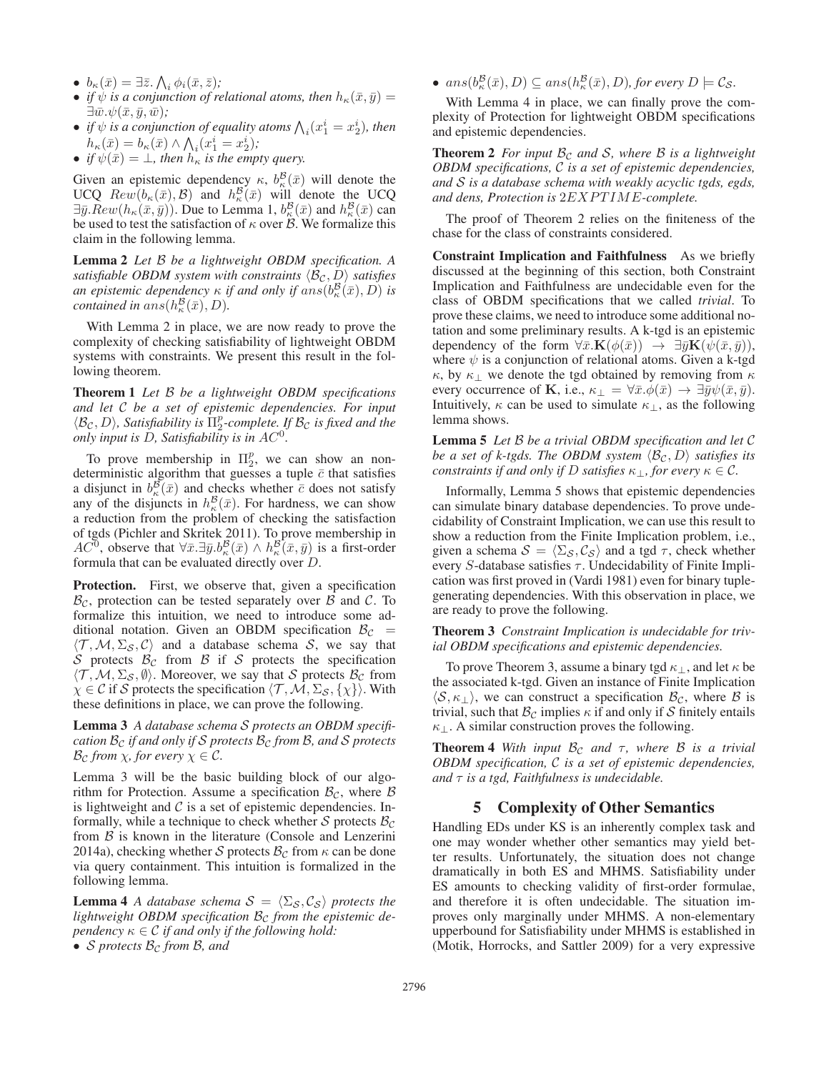- $b_{\kappa}(\bar{x}) = \exists \bar{z} \ldotp \bigwedge_i \phi_i(\bar{x}, \bar{z});$
- *if*  $\psi$  *is a conjunction of relational atoms, then*  $h_{\kappa}(\bar{x}, \bar{y}) =$  $\exists \bar{w}.\psi(\bar{x},\bar{y},\bar{w})$ ;
- *if*  $\psi$  *is a conjunction of equality atoms*  $\bigwedge_i(x_1^i = x_2^i)$ *, then*  $h_{\kappa}(\bar{x}) = b_{\kappa}(\bar{x}) \wedge \bigwedge_i (x_1^i = x_2^i);$
- *if*  $\psi(\bar{x}) = \bot$ *, then*  $h_{\kappa}$  *is the empty query.*

Given an epistemic dependency  $\kappa$ ,  $b_{\kappa}^{\mathcal{B}}(\bar{x})$  will denote the UCQ  $Rew(b_{\kappa}(\bar{x}), \mathcal{B})$  and  $h_{\kappa}^{\mathcal{B}}(\bar{x})$  will denote the UCQ  $\exists \bar{y}. Rew(h_{\kappa}(\bar{x}, \bar{y}))$ . Due to Lemma 1,  $b_{\kappa}^{\mathcal{B}}(\bar{x})$  and  $h_{\kappa}^{\mathcal{B}}(\bar{x})$  can be used to test the satisfaction of  $\kappa$  over  $\beta$ . We formalize this claim in the following lemma.

Lemma 2 *Let* B *be a lightweight OBDM specification. A satisfiable OBDM system with constraints*  $\langle \mathcal{B}_{c}, D \rangle$  *satisfies an epistemic dependency*  $\kappa$  *if and only if*  $ans(b^{\mathcal{B}}_{\kappa}(\bar{x}), D)$  *is contained in ans* $(h_{\kappa}^{\mathcal{B}}(\bar{x}), D)$ *.* 

With Lemma 2 in place, we are now ready to prove the complexity of checking satisfiability of lightweight OBDM systems with constraints. We present this result in the following theorem.

Theorem 1 *Let* B *be a lightweight OBDM specifications and let* C *be a set of epistemic dependencies. For input*  $\langle \mathcal{B}_{\mathcal{C}}, D \rangle$ , Satisfiability is  $\Pi_2^p$ -complete. If  $\mathcal{B}_{\mathcal{C}}$  is fixed and the *only input is* D*, Satisfiability is in* AC<sup>0</sup>*.*

To prove membership in  $\Pi_2^p$ , we can show an nondeterministic algorithm that guesses a tuple  $\bar{c}$  that satisfies a disjunct in  $b_{\kappa}^{\mathcal{B}}(\bar{x})$  and checks whether  $\bar{c}$  does not satisfy any of the disjuncts in  $h_{\kappa}^{\mathcal{B}}(\bar{x})$ . For hardness, we can show a reduction from the problem of checking the satisfaction of tgds (Pichler and Skritek 2011). To prove membership in AC<sup>0</sup>, observe that  $\forall \bar{x}.\exists \bar{y}.b^{\mathcal{B}}_{\kappa}(\bar{x}) \wedge h^{\mathcal{B}}_{\kappa}(\bar{x},\bar{y})$  is a first-order formula that can be evaluated directly over D.

Protection. First, we observe that, given a specification  $B_{\mathcal{C}}$ , protection can be tested separately over B and C. To formalize this intuition, we need to introduce some additional notation. Given an OBDM specification  $B_C$  =  $\langle \mathcal{T}, \mathcal{M}, \Sigma_{\mathcal{S}}, \mathcal{C} \rangle$  and a database schema S, we say that S protects  $B_c$  from B if S protects the specification  $\langle \mathcal{T}, \mathcal{M}, \Sigma_{\mathcal{S}}, \emptyset \rangle$ . Moreover, we say that S protects  $\mathcal{B}_{\mathcal{C}}$  from  $\chi \in \mathcal{C}$  if S protects the specification  $\langle \mathcal{T}, \mathcal{M}, \Sigma_{\mathcal{S}}, \{\chi\}\rangle$ . With these definitions in place, we can prove the following.

Lemma 3 *A database schema* S *protects an OBDM specification*  $B_c$  *if and only if* S *protects*  $B_c$  *from* B, and S protects  $\mathcal{B}_{\mathcal{C}}$  *from*  $\chi$ *, for every*  $\chi \in \mathcal{C}$ *.* 

Lemma 3 will be the basic building block of our algorithm for Protection. Assume a specification  $\mathcal{B}_{\mathcal{C}}$ , where  $\mathcal{B}$ is lightweight and  $C$  is a set of epistemic dependencies. Informally, while a technique to check whether S protects  $\mathcal{B}_{\mathcal{C}}$ from  $\beta$  is known in the literature (Console and Lenzerini 2014a), checking whether S protects  $B_{\mathcal{C}}$  from  $\kappa$  can be done via query containment. This intuition is formalized in the following lemma.

**Lemma 4** *A database schema*  $S = \langle \Sigma_S, \mathcal{C}_S \rangle$  protects the lightweight OBDM specification  $B_c$  from the epistemic de*pendency*  $\kappa \in \mathcal{C}$  *if and only if the following hold:* 

•  $ans(b^{\mathcal{B}}_{\kappa}(\bar{x}), D) \subseteq ans(h^{\mathcal{B}}_{\kappa}(\bar{x}), D)$ *, for every*  $D \models \mathcal{C}_{\mathcal{S}}$ *.* 

With Lemma 4 in place, we can finally prove the complexity of Protection for lightweight OBDM specifications and epistemic dependencies.

**Theorem 2** For input  $\mathcal{B}_{\mathcal{C}}$  and S, where B is a lightweight *OBDM specifications,* C *is a set of epistemic dependencies, and* S *is a database schema with weakly acyclic tgds, egds, and dens, Protection is* 2EXPTIME*-complete.*

The proof of Theorem 2 relies on the finiteness of the chase for the class of constraints considered.

Constraint Implication and Faithfulness As we briefly discussed at the beginning of this section, both Constraint Implication and Faithfulness are undecidable even for the class of OBDM specifications that we called *trivial*. To prove these claims, we need to introduce some additional notation and some preliminary results. A k-tgd is an epistemic dependency of the form  $\forall \bar{x} \cdot \mathbf{K}(\phi(\bar{x})) \rightarrow \exists \bar{y} \mathbf{K}(\psi(\bar{x}, \bar{y})),$ where  $\psi$  is a conjunction of relational atoms. Given a k-tgd κ, by  $\kappa_{\perp}$  we denote the tgd obtained by removing from  $\kappa$ every occurrence of **K**, i.e.,  $\kappa_{\perp} = \forall \bar{x} \cdot \phi(\bar{x}) \rightarrow \exists \bar{y} \psi(\bar{x}, \bar{y}).$ Intuitively,  $\kappa$  can be used to simulate  $\kappa_{\perp}$ , as the following lemma shows.

Lemma 5 *Let* B *be a trivial OBDM specification and let* C *be a set of k-tgds. The OBDM system*  $\langle \mathcal{B}_{\mathcal{C}}, D \rangle$  *satisfies its constraints if and only if* D *satisfies*  $\kappa_{\perp}$ *, for every*  $\kappa \in \mathcal{C}$ *.* 

Informally, Lemma 5 shows that epistemic dependencies can simulate binary database dependencies. To prove undecidability of Constraint Implication, we can use this result to show a reduction from the Finite Implication problem, i.e., given a schema  $S = \langle \Sigma_{\mathcal{S}}, \mathcal{C}_{\mathcal{S}} \rangle$  and a tgd  $\tau$ , check whether every S-database satisfies  $\tau$ . Undecidability of Finite Implication was first proved in (Vardi 1981) even for binary tuplegenerating dependencies. With this observation in place, we are ready to prove the following.

Theorem 3 *Constraint Implication is undecidable for trivial OBDM specifications and epistemic dependencies.*

To prove Theorem 3, assume a binary tgd  $\kappa_{\perp}$ , and let  $\kappa$  be the associated k-tgd. Given an instance of Finite Implication  $\langle S, \kappa_{\perp} \rangle$ , we can construct a specification  $\mathcal{B}_{\mathcal{C}}$ , where  $\mathcal{B}$  is trivial, such that  $\mathcal{B}_{\mathcal{C}}$  implies  $\kappa$  if and only if S finitely entails  $\kappa_{\perp}$ . A similar construction proves the following.

**Theorem 4** *With input*  $B_c$  *and*  $\tau$ *, where*  $B$  *is a trivial OBDM specification,* C *is a set of epistemic dependencies, and* τ *is a tgd, Faithfulness is undecidable.*

### 5 Complexity of Other Semantics

Handling EDs under KS is an inherently complex task and one may wonder whether other semantics may yield better results. Unfortunately, the situation does not change dramatically in both ES and MHMS. Satisfiability under ES amounts to checking validity of first-order formulae, and therefore it is often undecidable. The situation improves only marginally under MHMS. A non-elementary upperbound for Satisfiability under MHMS is established in (Motik, Horrocks, and Sattler 2009) for a very expressive

<sup>•</sup> *S* protects  $B_c$  from B, and